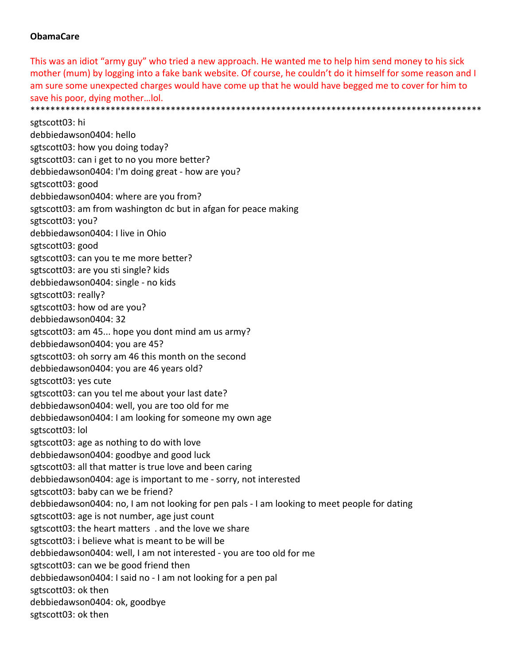## **ObamaCare**

This was an idiot "army guy" who tried a new approach. He wanted me to help him send money to his sick mother (mum) by logging into a fake bank website. Of course, he couldn't do it himself for some reason and I am sure some unexpected charges would have come up that he would have begged me to cover for him to save his poor, dying mother…lol. \*\*\*\*\*\*\*\*\*\*\*\*\*\*\*\*\*\*\*\*\*\*\*\*\*\*\*\*\*\*\*\*\*\*\*\*\*\*\*\*\*\*\*\*\*\*\*\*\*\*\*\*\*\*\*\*\*\*\*\*\*\*\*\*\*\*\*\*\*\*\*\*\*\*\*\*\*\*\*\*\*\*\*\*\*\*\*\*\*\*

sgtscott03: hi debbiedawson0404: hello sgtscott03: how you doing today? sgtscott03: can i get to no you more better? debbiedawson0404: I'm doing great ‐ how are you? sgtscott03: good debbiedawson0404: where are you from? sgtscott03: am from washington dc but in afgan for peace making sgtscott03: you? debbiedawson0404: I live in Ohio sgtscott03: good sgtscott03: can you te me more better? sgtscott03: are you sti single? kids debbiedawson0404: single ‐ no kids sgtscott03: really? sgtscott03: how od are you? debbiedawson0404: 32 sgtscott03: am 45... hope you dont mind am us army? debbiedawson0404: you are 45? sgtscott03: oh sorry am 46 this month on the second debbiedawson0404: you are 46 years old? sgtscott03: yes cute sgtscott03: can you tel me about your last date? debbiedawson0404: well, you are too old for me debbiedawson0404: I am looking for someone my own age sgtscott03: lol sgtscott03: age as nothing to do with love debbiedawson0404: goodbye and good luck sgtscott03: all that matter is true love and been caring debbiedawson0404: age is important to me ‐ sorry, not interested sgtscott03: baby can we be friend? debbiedawson0404: no, I am not looking for pen pals ‐ I am looking to meet people for dating sgtscott03: age is not number, age just count sgtscott03: the heart matters . and the love we share sgtscott03: i believe what is meant to be will be debbiedawson0404: well, I am not interested ‐ you are too old for me sgtscott03: can we be good friend then debbiedawson0404: I said no ‐ I am not looking for a pen pal sgtscott03: ok then debbiedawson0404: ok, goodbye sgtscott03: ok then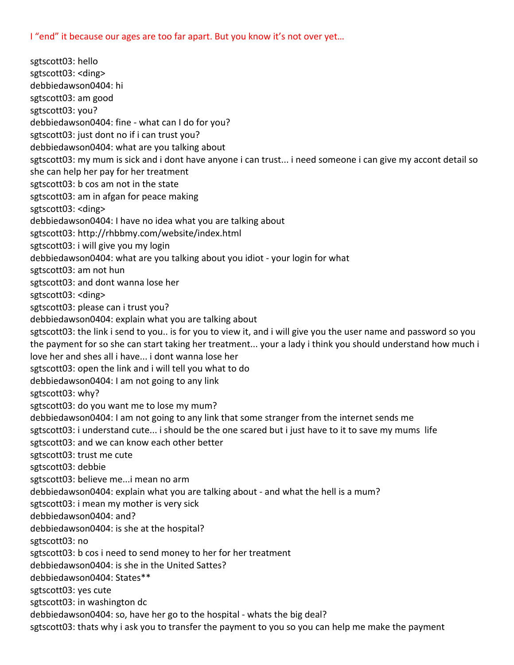I "end" it because our ages are too far apart. But you know it's not over yet...

sgtscott03: hello sgtscott03: <ding> debbiedawson0404: hi sgtscott03: am good sgtscott03: you? debbiedawson0404: fine ‐ what can I do for you? sgtscott03: just dont no if i can trust you? debbiedawson0404: what are you talking about sgtscott03: my mum is sick and i dont have anyone i can trust... i need someone i can give my accont detail so she can help her pay for her treatment sgtscott03: b cos am not in the state sgtscott03: am in afgan for peace making sgtscott03: <ding> debbiedawson0404: I have no idea what you are talking about sgtscott03: http://rhbbmy.com/website/index.html sgtscott03: i will give you my login debbiedawson0404: what are you talking about you idiot ‐ your login for what sgtscott03: am not hun sgtscott03: and dont wanna lose her sgtscott03: <ding> sgtscott03: please can i trust you? debbiedawson0404: explain what you are talking about sgtscott03: the link i send to you.. is for you to view it, and i will give you the user name and password so you the payment for so she can start taking her treatment... your a lady i think you should understand how much i love her and shes all i have... i dont wanna lose her sgtscott03: open the link and i will tell you what to do debbiedawson0404: I am not going to any link sgtscott03: why? sgtscott03: do you want me to lose my mum? debbiedawson0404: I am not going to any link that some stranger from the internet sends me sgtscott03: i understand cute... i should be the one scared but i just have to it to save my mums life sgtscott03: and we can know each other better sgtscott03: trust me cute sgtscott03: debbie sgtscott03: believe me...i mean no arm debbiedawson0404: explain what you are talking about ‐ and what the hell is a mum? sgtscott03: i mean my mother is very sick debbiedawson0404: and? debbiedawson0404: is she at the hospital? sgtscott03: no sgtscott03: b cos i need to send money to her for her treatment debbiedawson0404: is she in the United Sattes? debbiedawson0404: States\*\* sgtscott03: yes cute sgtscott03: in washington dc debbiedawson0404: so, have her go to the hospital ‐ whats the big deal? sgtscott03: thats why i ask you to transfer the payment to you so you can help me make the payment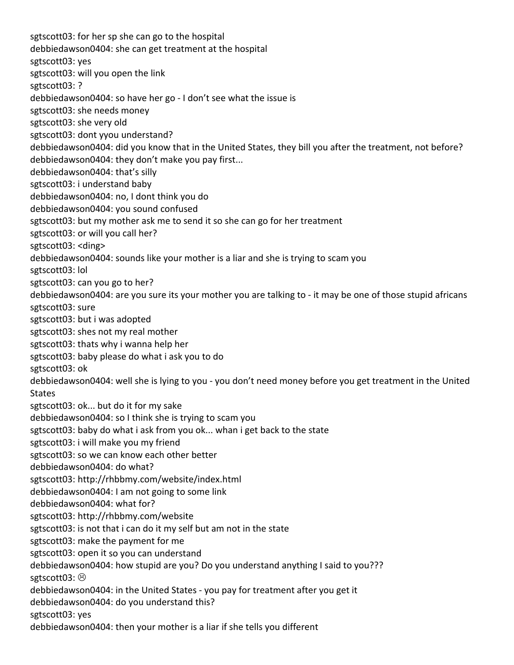sgtscott03: for her sp she can go to the hospital debbiedawson0404: she can get treatment at the hospital sgtscott03: yes sgtscott03: will you open the link sgtscott03: ? debbiedawson0404: so have her go ‐ I don't see what the issue is sgtscott03: she needs money sgtscott03: she very old sgtscott03: dont yyou understand? debbiedawson0404: did you know that in the United States, they bill you after the treatment, not before? debbiedawson0404: they don't make you pay first... debbiedawson0404: that's silly sgtscott03: i understand baby debbiedawson0404: no, I dont think you do debbiedawson0404: you sound confused sgtscott03: but my mother ask me to send it so she can go for her treatment sgtscott03: or will you call her? sgtscott03: <ding> debbiedawson0404: sounds like your mother is a liar and she is trying to scam you sgtscott03: lol sgtscott03: can you go to her? debbiedawson0404: are you sure its your mother you are talking to ‐ it may be one of those stupid africans sgtscott03: sure sgtscott03: but i was adopted sgtscott03: shes not my real mother sgtscott03: thats why i wanna help her sgtscott03: baby please do what i ask you to do sgtscott03: ok debbiedawson0404: well she is lying to you ‐ you don't need money before you get treatment in the United States sgtscott03: ok... but do it for my sake debbiedawson0404: so I think she is trying to scam you sgtscott03: baby do what i ask from you ok... whan i get back to the state sgtscott03: i will make you my friend sgtscott03: so we can know each other better debbiedawson0404: do what? sgtscott03: http://rhbbmy.com/website/index.html debbiedawson0404: I am not going to some link debbiedawson0404: what for? sgtscott03: http://rhbbmy.com/website sgtscott03: is not that i can do it my self but am not in the state sgtscott03: make the payment for me sgtscott03: open it so you can understand debbiedawson0404: how stupid are you? Do you understand anything I said to you??? sgtscott03:  $\odot$ debbiedawson0404: in the United States ‐ you pay for treatment after you get it debbiedawson0404: do you understand this? sgtscott03: yes debbiedawson0404: then your mother is a liar if she tells you different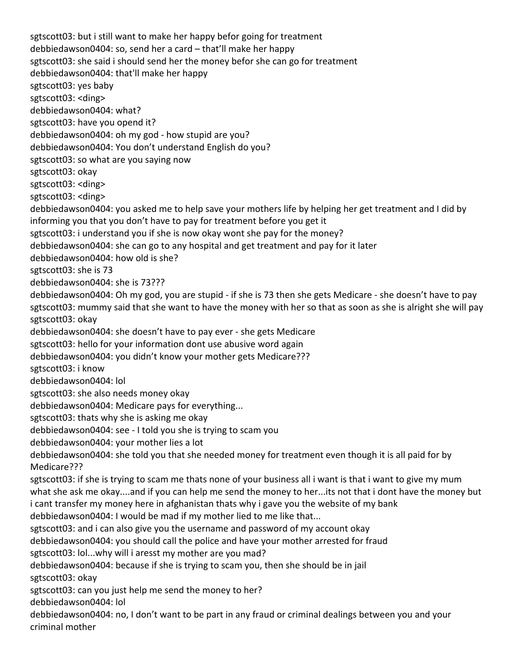sgtscott03: but i still want to make her happy befor going for treatment debbiedawson0404: so, send her a card – that'll make her happy sgtscott03: she said i should send her the money befor she can go for treatment debbiedawson0404: that'll make her happy sgtscott03: yes baby sgtscott03: <ding> debbiedawson0404: what? sgtscott03: have you opend it? debbiedawson0404: oh my god ‐ how stupid are you? debbiedawson0404: You don't understand English do you? sgtscott03: so what are you saying now sgtscott03: okay sgtscott03: <ding> sgtscott03: <ding> debbiedawson0404: you asked me to help save your mothers life by helping her get treatment and I did by informing you that you don't have to pay for treatment before you get it sgtscott03: i understand you if she is now okay wont she pay for the money? debbiedawson0404: she can go to any hospital and get treatment and pay for it later debbiedawson0404: how old is she? sgtscott03: she is 73 debbiedawson0404: she is 73??? debbiedawson0404: Oh my god, you are stupid ‐ if she is 73 then she gets Medicare ‐ she doesn't have to pay sgtscott03: mummy said that she want to have the money with her so that as soon as she is alright she will pay sgtscott03: okay debbiedawson0404: she doesn't have to pay ever ‐ she gets Medicare sgtscott03: hello for your information dont use abusive word again debbiedawson0404: you didn't know your mother gets Medicare??? sgtscott03: i know debbiedawson0404: lol sgtscott03: she also needs money okay debbiedawson0404: Medicare pays for everything... sgtscott03: thats why she is asking me okay debbiedawson0404: see ‐ I told you she is trying to scam you debbiedawson0404: your mother lies a lot debbiedawson0404: she told you that she needed money for treatment even though it is all paid for by Medicare??? sgtscott03: if she is trying to scam me thats none of your business all i want is that i want to give my mum what she ask me okay....and if you can help me send the money to her...its not that i dont have the money but i cant transfer my money here in afghanistan thats why i gave you the website of my bank debbiedawson0404: I would be mad if my mother lied to me like that... sgtscott03: and i can also give you the username and password of my account okay debbiedawson0404: you should call the police and have your mother arrested for fraud sgtscott03: lol...why will i aresst my mother are you mad? debbiedawson0404: because if she is trying to scam you, then she should be in jail sgtscott03: okay sgtscott03: can you just help me send the money to her? debbiedawson0404: lol debbiedawson0404: no, I don't want to be part in any fraud or criminal dealings between you and your criminal mother